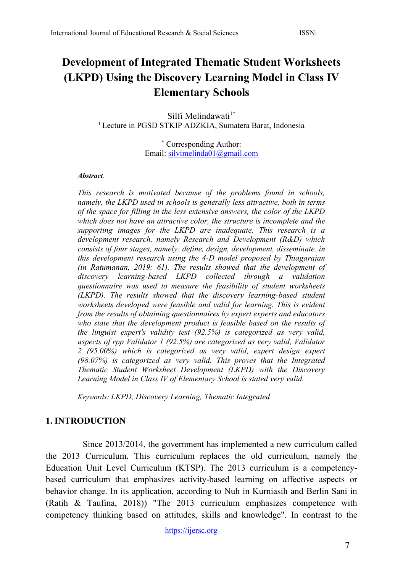# **Development of Integrated Thematic Student Worksheets (LKPD) Using the Discovery Learning Model in Class IV Elementary Schools**

Silfi Melindawati<sup>1\*</sup> <sup>1</sup> Lecture in PGSD STKIP ADZKIA, Sumatera Barat, Indonesia

> \* Corresponding Author: Email: [silvimelinda01@gmail.com](mailto:silvimelinda01@gmail.com)

#### *Abstract.*

*This research is motivated because of the problems found in schools, namely, the LKPD used in schools is generally less attractive, both in terms of the space for filling in the less extensive answers, the color of the LKPD which does not have an attractive color, the structure is incomplete and the supporting images for the LKPD are inadequate. This research is a development research, namely Research and Development (R&D) which consists of four stages, namely: define, design, development, disseminate. in this development research using the 4-D model proposed by Thiagarajan (in Ratumanan, 2019: 61). The results showed that the development of discovery learning-based LKPD collected through a validation questionnaire was used to measure the feasibility of student worksheets (LKPD). The results showed that the discovery learning-based student worksheets developed were feasible and valid for learning. This is evident from the results of obtaining questionnaires by expert experts and educators who state that the development product is feasible based on the results of the linguist expert's validity test (92.5%) is categorized as very valid, aspects of rpp Validator 1 (92.5%) are categorized as very valid, Validator 2 (95.00%) which is categorized as very valid, expert design expert (98.07%) is categorized as very valid. This proves that the Integrated Thematic Student Worksheet Development (LKPD) with the Discovery Learning Model in Class IV of Elementary School is stated very valid.*

*Keywords: LKPD, Discovery Learning, Thematic Integrated*

#### **1. INTRODUCTION**

Since 2013/2014, the government has implemented a new curriculum called the 2013 Curriculum. This curriculum replaces the old curriculum, namely the Education Unit Level Curriculum (KTSP). The 2013 curriculum is a competencybased curriculum that emphasizes activity-based learning on affective aspects or behavior change. In its application, according to Nuh in Kurniasih and Berlin Sani in (Ratih & Taufina, 2018)) "The 2013 curriculum emphasizes competence with competency thinking based on attitudes, skills and knowledge". In contrast to the

[https://ijersc.org](https://ijersc.org/)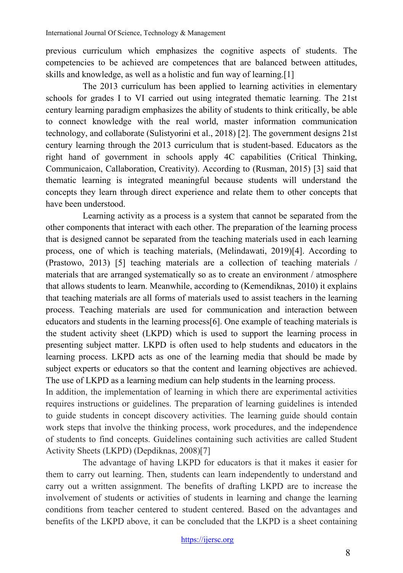previous curriculum which emphasizes the cognitive aspects of students. The competencies to be achieved are competences that are balanced between attitudes, skills and knowledge, as well as a holistic and fun way of learning.[1]

The 2013 curriculum has been applied to learning activities in elementary schools for grades I to VI carried out using integrated thematic learning. The 21st century learning paradigm emphasizes the ability of students to think critically, be able to connect knowledge with the real world, master information communication technology, and collaborate (Sulistyorini et al., 2018) [2]. The government designs 21st century learning through the 2013 curriculum that is student-based. Educators as the right hand of government in schools apply 4C capabilities (Critical Thinking, Communicaion, Callaboration, Creativity). According to (Rusman, 2015) [3] said that thematic learning is integrated meaningful because students will understand the concepts they learn through direct experience and relate them to other concepts that have been understood.

Learning activity as a process is a system that cannot be separated from the other components that interact with each other. The preparation of the learning process that is designed cannot be separated from the teaching materials used in each learning process, one of which is teaching materials, (Melindawati, 2019)[4]. According to (Prastowo, 2013) [5] teaching materials are a collection of teaching materials / materials that are arranged systematically so as to create an environment / atmosphere that allows students to learn. Meanwhile, according to (Kemendiknas, 2010) it explains that teaching materials are all forms of materials used to assist teachers in the learning process. Teaching materials are used for communication and interaction between educators and students in the learning process[6]. One example of teaching materials is the student activity sheet (LKPD) which is used to support the learning process in presenting subject matter. LKPD is often used to help students and educators in the learning process. LKPD acts as one of the learning media that should be made by subject experts or educators so that the content and learning objectives are achieved. The use of LKPD as a learning medium can help students in the learning process.

In addition, the implementation of learning in which there are experimental activities requires instructions or guidelines. The preparation of learning guidelines is intended to guide students in concept discovery activities. The learning guide should contain work steps that involve the thinking process, work procedures, and the independence of students to find concepts. Guidelines containing such activities are called Student Activity Sheets (LKPD) (Depdiknas, 2008)[7]

The advantage of having LKPD for educators is that it makes it easier for them to carry out learning. Then, students can learn independently to understand and carry out a written assignment. The benefits of drafting LKPD are to increase the involvement of students or activities of students in learning and change the learning conditions from teacher centered to student centered. Based on the advantages and benefits of the LKPD above, it can be concluded that the LKPD is a sheet containing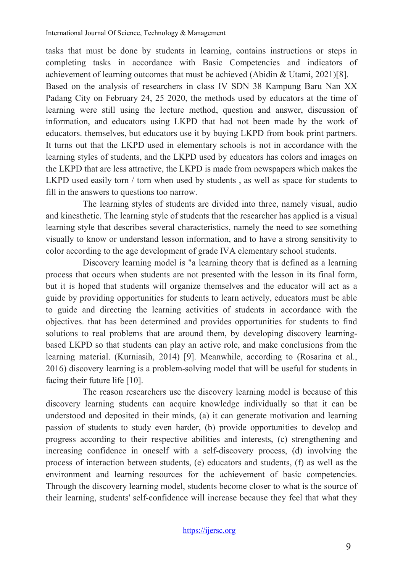tasks that must be done by students in learning, contains instructions or steps in completing tasks in accordance with Basic Competencies and indicators of achievement of learning outcomes that must be achieved (Abidin & Utami, 2021)[8]. Based on the analysis of researchers in class IV SDN 38 Kampung Baru Nan XX Padang City on February 24, 25 2020, the methods used by educators at the time of learning were still using the lecture method, question and answer, discussion of information, and educators using LKPD that had not been made by the work of educators. themselves, but educators use it by buying LKPD from book print partners. It turns out that the LKPD used in elementary schools is not in accordance with the learning styles of students, and the LKPD used by educators has colors and images on the LKPD that are less attractive, the LKPD is made from newspapers which makes the LKPD used easily torn / torn when used by students , as well as space for students to fill in the answers to questions too narrow.

The learning styles of students are divided into three, namely visual, audio and kinesthetic. The learning style of students that the researcher has applied is a visual learning style that describes several characteristics, namely the need to see something visually to know or understand lesson information, and to have a strong sensitivity to color according to the age development of grade IVA elementary school students.

Discovery learning model is "a learning theory that is defined as a learning process that occurs when students are not presented with the lesson in its final form, but it is hoped that students will organize themselves and the educator will act as a guide by providing opportunities for students to learn actively, educators must be able to guide and directing the learning activities of students in accordance with the objectives. that has been determined and provides opportunities for students to find solutions to real problems that are around them, by developing discovery learningbased LKPD so that students can play an active role, and make conclusions from the learning material. (Kurniasih, 2014) [9]. Meanwhile, according to (Rosarina et al., 2016) discovery learning is a problem-solving model that will be useful for students in facing their future life [10].

The reason researchers use the discovery learning model is because of this discovery learning students can acquire knowledge individually so that it can be understood and deposited in their minds, (a) it can generate motivation and learning passion of students to study even harder, (b) provide opportunities to develop and progress according to their respective abilities and interests, (c) strengthening and increasing confidence in oneself with a self-discovery process, (d) involving the process of interaction between students, (e) educators and students, (f) as well as the environment and learning resources for the achievement of basic competencies. Through the discovery learning model, students become closer to what is the source of their learning, students' self-confidence will increase because they feel that what they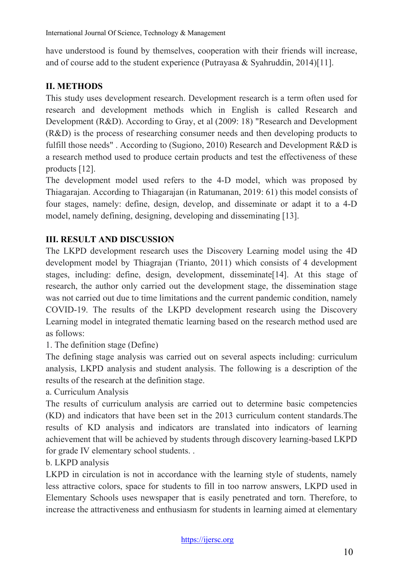have understood is found by themselves, cooperation with their friends will increase, and of course add to the student experience (Putrayasa & Syahruddin, 2014)[11].

## **II. METHODS**

This study uses development research. Development research is a term often used for research and development methods which in English is called Research and Development (R&D). According to Gray, et al (2009: 18) "Research and Development (R&D) is the process of researching consumer needs and then developing products to fulfill those needs" . According to (Sugiono, 2010) Research and Development R&D is a research method used to produce certain products and test the effectiveness of these products [12].

The development model used refers to the 4-D model, which was proposed by Thiagarajan. According to Thiagarajan (in Ratumanan, 2019: 61) this model consists of four stages, namely: define, design, develop, and disseminate or adapt it to a 4-D model, namely defining, designing, developing and disseminating [13].

### **III. RESULT AND DISCUSSION**

The LKPD development research uses the Discovery Learning model using the 4D development model by Thiagrajan (Trianto, 2011) which consists of 4 development stages, including: define, design, development, disseminate[14]. At this stage of research, the author only carried out the development stage, the dissemination stage was not carried out due to time limitations and the current pandemic condition, namely COVID-19. The results of the LKPD development research using the Discovery Learning model in integrated thematic learning based on the research method used are as follows:

1. The definition stage (Define)

The defining stage analysis was carried out on several aspects including: curriculum analysis, LKPD analysis and student analysis. The following is a description of the results of the research at the definition stage.

a. Curriculum Analysis

The results of curriculum analysis are carried out to determine basic competencies (KD) and indicators that have been set in the 2013 curriculum content standards.The results of KD analysis and indicators are translated into indicators of learning achievement that will be achieved by students through discovery learning-based LKPD for grade IV elementary school students. .

b. LKPD analysis

LKPD in circulation is not in accordance with the learning style of students, namely less attractive colors, space for students to fill in too narrow answers, LKPD used in Elementary Schools uses newspaper that is easily penetrated and torn. Therefore, to increase the attractiveness and enthusiasm for students in learning aimed at elementary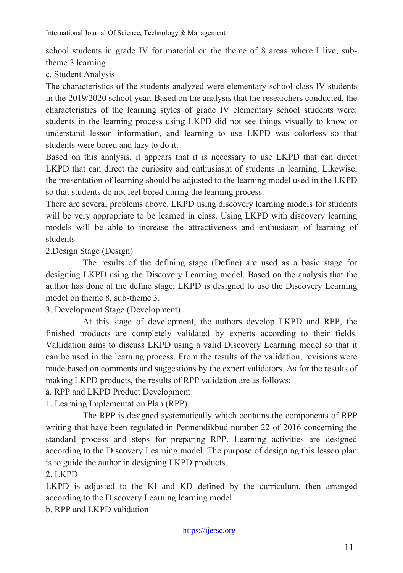school students in grade IV for material on the theme of 8 areas where I live, subtheme 3 learning 1.

c. Student Analysis

The characteristics of the students analyzed were elementary school class IV students in the 2019/2020 school year. Based on the analysis that the researchers conducted, the characteristics of the learning styles of grade IV elementary school students were: students in the learning process using LKPD did not see things visually to know or understand lesson information, and learning to use LKPD was colorless so that students were bored and lazy to do it.

Based on this analysis, it appears that it is necessary to use LKPD that can direct LKPD that can direct the curiosity and enthusiasm of students in learning. Likewise, the presentation of learning should be adjusted to the learning model used in the LKPD so that students do not feel bored during the learning process.

There are several problems above. LKPD using discovery learning models for students will be very appropriate to be learned in class. Using LKPD with discovery learning models will be able to increase the attractiveness and enthusiasm of learning of students.

2.Design Stage (Design)

The results of the defining stage (Define) are used as a basic stage for designing LKPD using the Discovery Learning model. Based on the analysis that the author has done at the define stage, LKPD is designed to use the Discovery Learning model on theme 8, sub-theme 3.

3. Development Stage (Development)

At this stage of development, the authors develop LKPD and RPP, the finished products are completely validated by experts according to their fields. Vallidation aims to discuss LKPD using a valid Discovery Learning model so that it can be used in the learning process. From the results of the validation, revisions were made based on comments and suggestions by the expert validators. As for the results of making LKPD products, the results of RPP validation are as follows:

a. RPP and LKPD Product Development

1. Learning Implementation Plan (RPP)

The RPP is designed systematically which contains the components of RPP writing that have been regulated in Permendikbud number 22 of 2016 concerning the standard process and steps for preparing RPP. Learning activities are designed according to the Discovery Learning model. The purpose of designing this lesson plan is to guide the author in designing LKPD products.

2. LKPD

LKPD is adjusted to the KI and KD defined by the curriculum, then arranged according to the Discovery Learning learning model.

b. RPP and LKPD validation

[https://ijersc.org](https://ijersc.org/)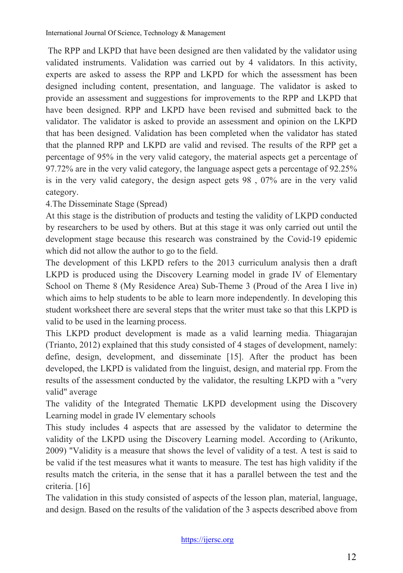The RPP and LKPD that have been designed are then validated by the validator using validated instruments. Validation was carried out by 4 validators. In this activity, experts are asked to assess the RPP and LKPD for which the assessment has been designed including content, presentation, and language. The validator is asked to provide an assessment and suggestions for improvements to the RPP and LKPD that have been designed. RPP and LKPD have been revised and submitted back to the validator. The validator is asked to provide an assessment and opinion on the LKPD that has been designed. Validation has been completed when the validator has stated that the planned RPP and LKPD are valid and revised. The results of the RPP get a percentage of 95% in the very valid category, the material aspects get a percentage of 97.72% are in the very valid category, the language aspect gets a percentage of 92.25% is in the very valid category, the design aspect gets 98 , 07% are in the very valid category.

4.The Disseminate Stage (Spread)

At this stage is the distribution of products and testing the validity of LKPD conducted by researchers to be used by others. But at this stage it was only carried out until the development stage because this research was constrained by the Covid-19 epidemic which did not allow the author to go to the field.

The development of this LKPD refers to the 2013 curriculum analysis then a draft LKPD is produced using the Discovery Learning model in grade IV of Elementary School on Theme 8 (My Residence Area) Sub-Theme 3 (Proud of the Area I live in) which aims to help students to be able to learn more independently. In developing this student worksheet there are several steps that the writer must take so that this LKPD is valid to be used in the learning process.

This LKPD product development is made as a valid learning media. Thiagarajan (Trianto, 2012) explained that this study consisted of 4 stages of development, namely: define, design, development, and disseminate [15]. After the product has been developed, the LKPD is validated from the linguist, design, and material rpp. From the results of the assessment conducted by the validator, the resulting LKPD with a "very valid" average

The validity of the Integrated Thematic LKPD development using the Discovery Learning model in grade IV elementary schools

This study includes 4 aspects that are assessed by the validator to determine the validity of the LKPD using the Discovery Learning model. According to (Arikunto, 2009) "Validity is a measure that shows the level of validity of a test. A test is said to be valid if the test measures what it wants to measure. The test has high validity if the results match the criteria, in the sense that it has a parallel between the test and the criteria. [16]

The validation in this study consisted of aspects of the lesson plan, material, language, and design. Based on the results of the validation of the 3 aspects described above from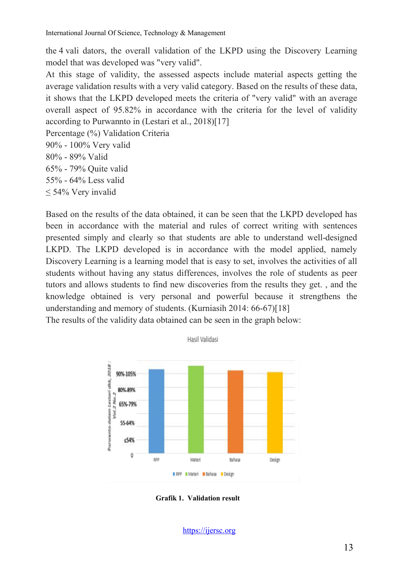the 4 vali dators, the overall validation of the LKPD using the Discovery Learning model that was developed was "very valid".

At this stage of validity, the assessed aspects include material aspects getting the average validation results with a very valid category. Based on the results of these data, it shows that the LKPD developed meets the criteria of "very valid" with an average overall aspect of 95.82% in accordance with the criteria for the level of validity according to Purwannto in (Lestari et al., 2018)[17]

Percentage (%) Validation Criteria 90% - 100% Very valid

80% - 89% Valid

65% - 79% Quite valid

55% - 64% Less valid

≤ 54% Very invalid

Based on the results of the data obtained, it can be seen that the LKPD developed has been in accordance with the material and rules of correct writing with sentences presented simply and clearly so that students are able to understand well-designed LKPD. The LKPD developed is in accordance with the model applied, namely Discovery Learning is a learning model that is easy to set, involves the activities of all students without having any status differences, involves the role of students as peer tutors and allows students to find new discoveries from the results they get. , and the knowledge obtained is very personal and powerful because it strengthens the understanding and memory of students. (Kurniasih 2014: 66-67)[18]

The results of the validity data obtained can be seen in the graph below:



**Grafik 1. Validation result**

[https://ijersc.org](https://ijersc.org/)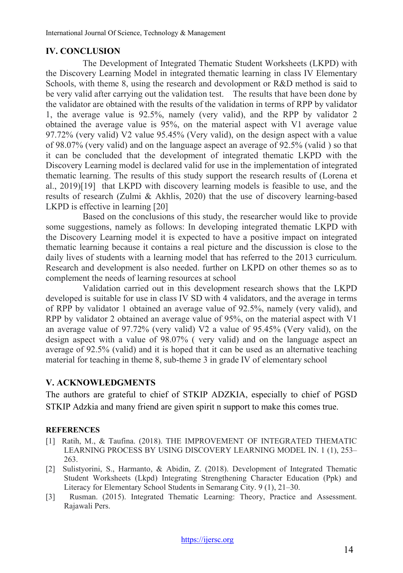#### **IV. CONCLUSION**

The Development of Integrated Thematic Student Worksheets (LKPD) with the Discovery Learning Model in integrated thematic learning in class IV Elementary Schools, with theme 8, using the research and devolopment or R&D method is said to be very valid after carrying out the validation test. The results that have been done by the validator are obtained with the results of the validation in terms of RPP by validator 1, the average value is 92.5%, namely (very valid), and the RPP by validator 2 obtained the average value is 95%, on the material aspect with V1 average value 97.72% (very valid) V2 value 95.45% (Very valid), on the design aspect with a value of 98.07% (very valid) and on the language aspect an average of 92.5% (valid ) so that it can be concluded that the development of integrated thematic LKPD with the Discovery Learning model is declared valid for use in the implementation of integrated thematic learning. The results of this study support the research results of (Lorena et al., 2019)[19] that LKPD with discovery learning models is feasible to use, and the results of research (Zulmi & Akhlis, 2020) that the use of discovery learning-based LKPD is effective in learning [20]

Based on the conclusions of this study, the researcher would like to provide some suggestions, namely as follows: In developing integrated thematic LKPD with the Discovery Learning model it is expected to have a positive impact on integrated thematic learning because it contains a real picture and the discussion is close to the daily lives of students with a learning model that has referred to the 2013 curriculum. Research and development is also needed. further on LKPD on other themes so as to complement the needs of learning resources at school

Validation carried out in this development research shows that the LKPD developed is suitable for use in class IV SD with 4 validators, and the average in terms of RPP by validator 1 obtained an average value of 92.5%, namely (very valid), and RPP by validator 2 obtained an average value of 95%, on the material aspect with V1 an average value of 97.72% (very valid) V2 a value of 95.45% (Very valid), on the design aspect with a value of 98.07% ( very valid) and on the language aspect an average of 92.5% (valid) and it is hoped that it can be used as an alternative teaching material for teaching in theme 8, sub-theme 3 in grade IV of elementary school

#### **V. ACKNOWLEDGMENTS**

The authors are grateful to chief of STKIP ADZKIA, especially to chief of PGSD STKIP Adzkia and many friend are given spirit n support to make this comes true.

#### **REFERENCES**

- [1] Ratih, M., & Taufina. (2018). THE IMPROVEMENT OF INTEGRATED THEMATIC LEARNING PROCESS BY USING DISCOVERY LEARNING MODEL IN. 1 (1), 253– 263.
- [2] Sulistyorini, S., Harmanto, & Abidin, Z. (2018). Development of Integrated Thematic Student Worksheets (Lkpd) Integrating Strengthening Character Education (Ppk) and Literacy for Elementary School Students in Semarang City. 9 (1), 21–30.
- [3] Rusman. (2015). Integrated Thematic Learning: Theory, Practice and Assessment. Rajawali Pers.